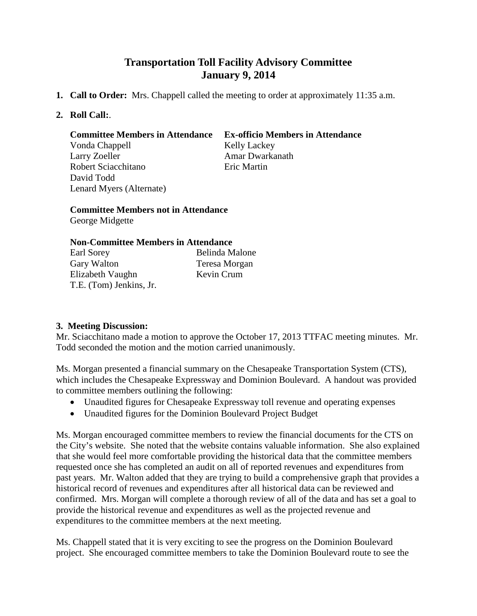# **Transportation Toll Facility Advisory Committee January 9, 2014**

- **1. Call to Order:** Mrs. Chappell called the meeting to order at approximately 11:35 a.m.
- **2. Roll Call:**.

#### **Committee Members in Attendance Ex-officio Members in Attendance**

Vonda Chappell Kelly Lackey Larry Zoeller **Amar Dwarkanath** Robert Sciacchitano Eric Martin David Todd Lenard Myers (Alternate)

**Committee Members not in Attendance** George Midgette

### **Non-Committee Members in Attendance**

| Earl Sorey              | Belinda Malone |
|-------------------------|----------------|
| Gary Walton             | Teresa Morgan  |
| Elizabeth Vaughn        | Kevin Crum     |
| T.E. (Tom) Jenkins, Jr. |                |

## **3. Meeting Discussion:**

Mr. Sciacchitano made a motion to approve the October 17, 2013 TTFAC meeting minutes. Mr. Todd seconded the motion and the motion carried unanimously.

Ms. Morgan presented a financial summary on the Chesapeake Transportation System (CTS), which includes the Chesapeake Expressway and Dominion Boulevard. A handout was provided to committee members outlining the following:

- Unaudited figures for Chesapeake Expressway toll revenue and operating expenses
- Unaudited figures for the Dominion Boulevard Project Budget

Ms. Morgan encouraged committee members to review the financial documents for the CTS on the City's website. She noted that the website contains valuable information. She also explained that she would feel more comfortable providing the historical data that the committee members requested once she has completed an audit on all of reported revenues and expenditures from past years. Mr. Walton added that they are trying to build a comprehensive graph that provides a historical record of revenues and expenditures after all historical data can be reviewed and confirmed. Mrs. Morgan will complete a thorough review of all of the data and has set a goal to provide the historical revenue and expenditures as well as the projected revenue and expenditures to the committee members at the next meeting.

Ms. Chappell stated that it is very exciting to see the progress on the Dominion Boulevard project. She encouraged committee members to take the Dominion Boulevard route to see the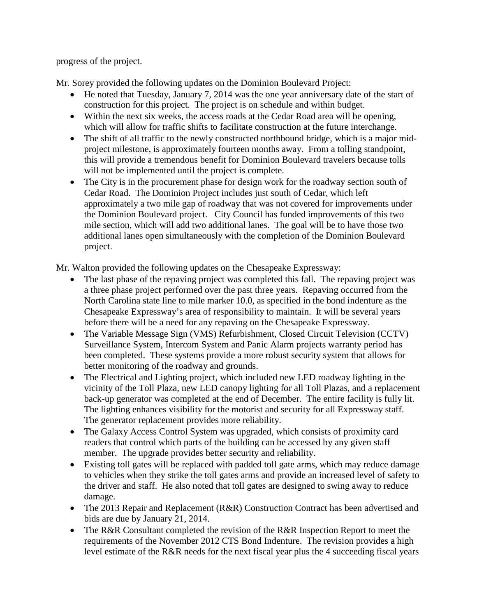progress of the project.

Mr. Sorey provided the following updates on the Dominion Boulevard Project:

- He noted that Tuesday, January 7, 2014 was the one year anniversary date of the start of construction for this project. The project is on schedule and within budget.
- Within the next six weeks, the access roads at the Cedar Road area will be opening. which will allow for traffic shifts to facilitate construction at the future interchange.
- The shift of all traffic to the newly constructed northbound bridge, which is a major midproject milestone, is approximately fourteen months away. From a tolling standpoint, this will provide a tremendous benefit for Dominion Boulevard travelers because tolls will not be implemented until the project is complete.
- The City is in the procurement phase for design work for the roadway section south of Cedar Road. The Dominion Project includes just south of Cedar, which left approximately a two mile gap of roadway that was not covered for improvements under the Dominion Boulevard project. City Council has funded improvements of this two mile section, which will add two additional lanes. The goal will be to have those two additional lanes open simultaneously with the completion of the Dominion Boulevard project.

Mr. Walton provided the following updates on the Chesapeake Expressway:

- The last phase of the repaving project was completed this fall. The repaving project was a three phase project performed over the past three years. Repaving occurred from the North Carolina state line to mile marker 10.0, as specified in the bond indenture as the Chesapeake Expressway's area of responsibility to maintain. It will be several years before there will be a need for any repaving on the Chesapeake Expressway.
- The Variable Message Sign (VMS) Refurbishment, Closed Circuit Television (CCTV) Surveillance System, Intercom System and Panic Alarm projects warranty period has been completed. These systems provide a more robust security system that allows for better monitoring of the roadway and grounds.
- The Electrical and Lighting project, which included new LED roadway lighting in the vicinity of the Toll Plaza, new LED canopy lighting for all Toll Plazas, and a replacement back-up generator was completed at the end of December. The entire facility is fully lit. The lighting enhances visibility for the motorist and security for all Expressway staff. The generator replacement provides more reliability.
- The Galaxy Access Control System was upgraded, which consists of proximity card readers that control which parts of the building can be accessed by any given staff member. The upgrade provides better security and reliability.
- Existing toll gates will be replaced with padded toll gate arms, which may reduce damage to vehicles when they strike the toll gates arms and provide an increased level of safety to the driver and staff. He also noted that toll gates are designed to swing away to reduce damage.
- The 2013 Repair and Replacement (R&R) Construction Contract has been advertised and bids are due by January 21, 2014.
- The R&R Consultant completed the revision of the R&R Inspection Report to meet the requirements of the November 2012 CTS Bond Indenture. The revision provides a high level estimate of the R&R needs for the next fiscal year plus the 4 succeeding fiscal years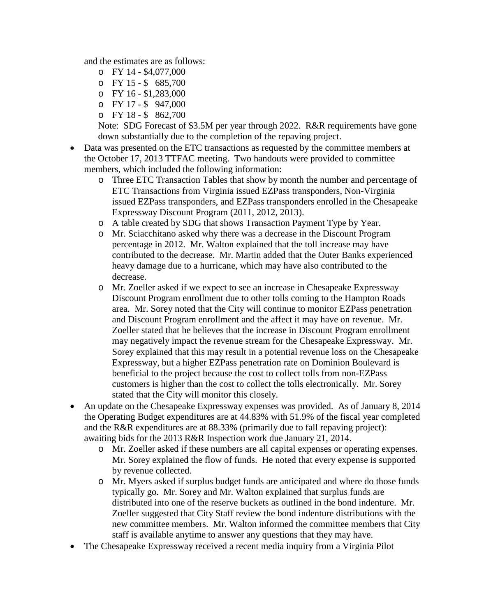and the estimates are as follows:

- o FY 14 \$4,077,000
- o FY 15 \$ 685,700
- o FY 16 \$1,283,000
- o FY 17 \$ 947,000
- o FY 18 \$ 862,700

Note: SDG Forecast of \$3.5M per year through 2022. R&R requirements have gone down substantially due to the completion of the repaving project.

- Data was presented on the ETC transactions as requested by the committee members at the October 17, 2013 TTFAC meeting. Two handouts were provided to committee members, which included the following information:
	- o Three ETC Transaction Tables that show by month the number and percentage of ETC Transactions from Virginia issued EZPass transponders, Non-Virginia issued EZPass transponders, and EZPass transponders enrolled in the Chesapeake Expressway Discount Program (2011, 2012, 2013).
	- o A table created by SDG that shows Transaction Payment Type by Year.
	- o Mr. Sciacchitano asked why there was a decrease in the Discount Program percentage in 2012. Mr. Walton explained that the toll increase may have contributed to the decrease. Mr. Martin added that the Outer Banks experienced heavy damage due to a hurricane, which may have also contributed to the decrease.
	- o Mr. Zoeller asked if we expect to see an increase in Chesapeake Expressway Discount Program enrollment due to other tolls coming to the Hampton Roads area. Mr. Sorey noted that the City will continue to monitor EZPass penetration and Discount Program enrollment and the affect it may have on revenue. Mr. Zoeller stated that he believes that the increase in Discount Program enrollment may negatively impact the revenue stream for the Chesapeake Expressway. Mr. Sorey explained that this may result in a potential revenue loss on the Chesapeake Expressway, but a higher EZPass penetration rate on Dominion Boulevard is beneficial to the project because the cost to collect tolls from non-EZPass customers is higher than the cost to collect the tolls electronically. Mr. Sorey stated that the City will monitor this closely.
- An update on the Chesapeake Expressway expenses was provided. As of January 8, 2014 the Operating Budget expenditures are at 44.83% with 51.9% of the fiscal year completed and the R&R expenditures are at 88.33% (primarily due to fall repaving project): awaiting bids for the 2013 R&R Inspection work due January 21, 2014.
	- o Mr. Zoeller asked if these numbers are all capital expenses or operating expenses. Mr. Sorey explained the flow of funds. He noted that every expense is supported by revenue collected.
	- o Mr. Myers asked if surplus budget funds are anticipated and where do those funds typically go. Mr. Sorey and Mr. Walton explained that surplus funds are distributed into one of the reserve buckets as outlined in the bond indenture. Mr. Zoeller suggested that City Staff review the bond indenture distributions with the new committee members. Mr. Walton informed the committee members that City staff is available anytime to answer any questions that they may have.
- The Chesapeake Expressway received a recent media inquiry from a Virginia Pilot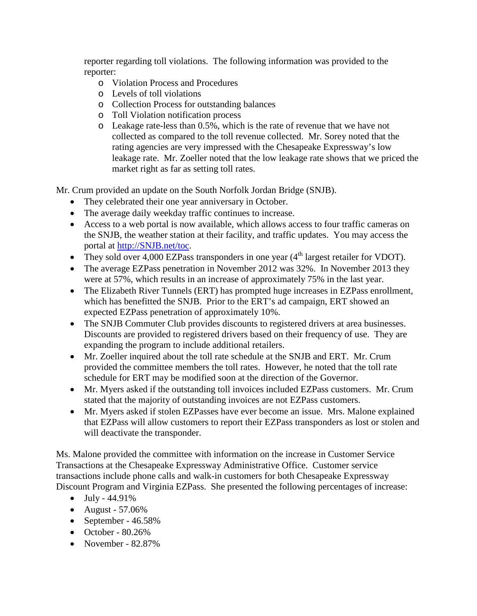reporter regarding toll violations. The following information was provided to the reporter:

- o Violation Process and Procedures
- o Levels of toll violations
- o Collection Process for outstanding balances
- o Toll Violation notification process
- o Leakage rate-less than 0.5%, which is the rate of revenue that we have not collected as compared to the toll revenue collected. Mr. Sorey noted that the rating agencies are very impressed with the Chesapeake Expressway's low leakage rate. Mr. Zoeller noted that the low leakage rate shows that we priced the market right as far as setting toll rates.

Mr. Crum provided an update on the South Norfolk Jordan Bridge (SNJB).

- They celebrated their one year anniversary in October.
- The average daily weekday traffic continues to increase.
- Access to a web portal is now available, which allows access to four traffic cameras on the SNJB, the weather station at their facility, and traffic updates. You may access the portal at [http://SNJB.net/toc.](http://snjb.net/toc)
- They sold over 4,000 EZPass transponders in one year  $(4<sup>th</sup>$  largest retailer for VDOT).
- The average EZPass penetration in November 2012 was 32%. In November 2013 they were at 57%, which results in an increase of approximately 75% in the last year.
- The Elizabeth River Tunnels (ERT) has prompted huge increases in EZPass enrollment, which has benefitted the SNJB. Prior to the ERT's ad campaign, ERT showed an expected EZPass penetration of approximately 10%.
- The SNJB Commuter Club provides discounts to registered drivers at area businesses. Discounts are provided to registered drivers based on their frequency of use. They are expanding the program to include additional retailers.
- Mr. Zoeller inquired about the toll rate schedule at the SNJB and ERT. Mr. Crum provided the committee members the toll rates. However, he noted that the toll rate schedule for ERT may be modified soon at the direction of the Governor.
- Mr. Myers asked if the outstanding toll invoices included EZPass customers. Mr. Crum stated that the majority of outstanding invoices are not EZPass customers.
- Mr. Myers asked if stolen EZPasses have ever become an issue. Mrs. Malone explained that EZPass will allow customers to report their EZPass transponders as lost or stolen and will deactivate the transponder.

Ms. Malone provided the committee with information on the increase in Customer Service Transactions at the Chesapeake Expressway Administrative Office. Customer service transactions include phone calls and walk-in customers for both Chesapeake Expressway Discount Program and Virginia EZPass. She presented the following percentages of increase:

- $\bullet$  July 44.91%
- August 57.06%
- September 46.58%
- October  $80.26\%$
- November 82.87%